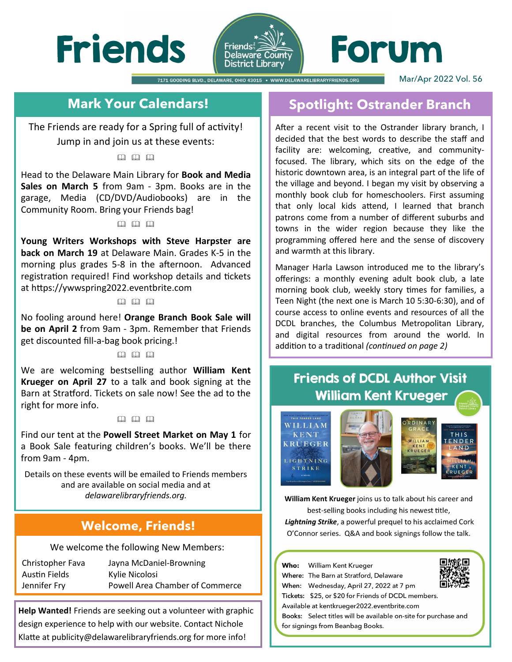



# Forum

7171 GOODING BLVD., DELAWARE, OHIO 43015 · WWW.DELAWARELIBRARYFRIENDS.ORG Mar/Apr 2022 Vol. 56

# **Mark Your Calendars!**

The Friends are ready for a Spring full of activity! Jump in and join us at these events:

## $\omega$   $\omega$   $\omega$

Head to the Delaware Main Library for **Book and Media Sales on March 5** from 9am - 3pm. Books are in the garage, Media (CD/DVD/Audiobooks) are in the Community Room. Bring your Friends bag!

### $\mathfrak{m}$   $\mathfrak{m}$   $\mathfrak{m}$

**Young Writers Workshops with Steve Harpster are back on March 19** at Delaware Main. Grades K-5 in the morning plus grades 5-8 in the afternoon. Advanced registration required! Find workshop details and tickets at https://ywwspring2022.eventbrite.com

#### $\n *m*\n *m*\n$

No fooling around here! **Orange Branch Book Sale will be on April 2** from 9am - 3pm. Remember that Friends get discounted fill-a-bag book pricing.!

## $\begin{matrix} 0 & 0 \\ 0 & 1 \end{matrix}$

We are welcoming bestselling author **William Kent Krueger on April 27** to a talk and book signing at the Barn at Stratford. Tickets on sale now! See the ad to the right for more info.

### $\Box$   $\Box$   $\Box$

Find our tent at the **Powell Street Market on May 1** for a Book Sale featuring children's books. We'll be there from 9am - 4pm.

Details on these events will be emailed to Friends members and are available on social media and at *delawarelibraryfriends.org.* 

## **Welcome, Friends!**

We welcome the following New Members:

| Christopher Fava     | Jayna McDaniel-Browning         |
|----------------------|---------------------------------|
| <b>Austin Fields</b> | Kylie Nicolosi                  |
| Jennifer Fry         | Powell Area Chamber of Commerce |

**Help Wanted!** Friends are seeking out a volunteer with graphic design experience to help with our website. Contact Nichole Klatte at publicity@delawarelibraryfriends.org for more info!

## **Spotlight: Ostrander Branch**

After a recent visit to the Ostrander library branch, I decided that the best words to describe the staff and facility are: welcoming, creative, and communityfocused. The library, which sits on the edge of the historic downtown area, is an integral part of the life of the village and beyond. I began my visit by observing a monthly book club for homeschoolers. First assuming that only local kids attend, I learned that branch patrons come from a number of different suburbs and towns in the wider region because they like the programming offered here and the sense of discovery and warmth at this library.

Manager Harla Lawson introduced me to the library's offerings: a monthly evening adult book club, a late morning book club, weekly story times for families, a Teen Night (the next one is March 10 5:30-6:30), and of course access to online events and resources of all the DCDL branches, the Columbus Metropolitan Library, and digital resources from around the world. In addition to a traditional *(continued on page 2)* 

# **Friends of DCDL Author Visit William Kent Krueger**

.<br>This tender Land WILLIAM **KENT KRUEGER** IGHTNING **STRIKE** 





William Kent Krueger joins us to talk about his career and best-selling books including his newest title,

Lightning Strike, a powerful prequel to his acclaimed Cork O'Connor series. Q&A and book signings follow the talk.

Who: William Kent Krueger Where: The Barn at Stratford, Delaware When: Wednesday, April 27, 2022 at 7 pm Tickets: \$25, or \$20 for Friends of DCDL members. Available at kentkrueger2022.eventbrite.com Books: Select titles will be available on-site for purchase and for signings from Beanbag Books.